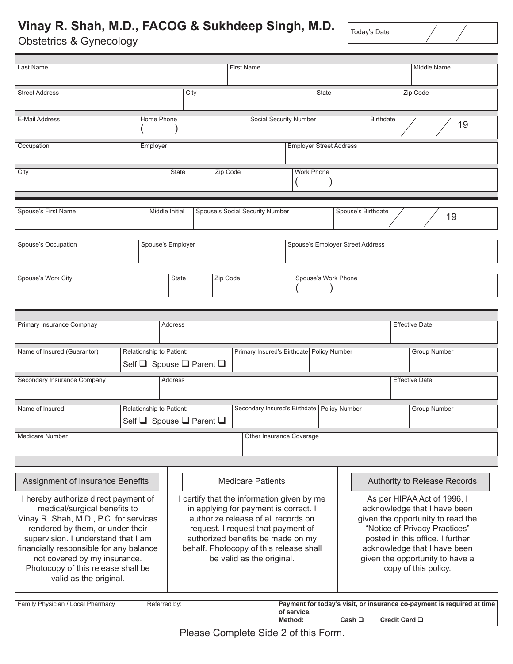## **Vinay R. Shah, M.D., FACOG & Sukhdeep Singh, M.D.**

Obstetrics & Gynecology

Today's Date

| Last Name                                                                                                                                                                                                                                                                                                                                                                |                   |                          | <b>First Name</b>                                                                                                                        |                                                                                                                                                         |                                                       |                                                                                       |                                               |              |                    | Middle Name                                                                                                                                                                                                                                                                                      |                       |                       |  |
|--------------------------------------------------------------------------------------------------------------------------------------------------------------------------------------------------------------------------------------------------------------------------------------------------------------------------------------------------------------------------|-------------------|--------------------------|------------------------------------------------------------------------------------------------------------------------------------------|---------------------------------------------------------------------------------------------------------------------------------------------------------|-------------------------------------------------------|---------------------------------------------------------------------------------------|-----------------------------------------------|--------------|--------------------|--------------------------------------------------------------------------------------------------------------------------------------------------------------------------------------------------------------------------------------------------------------------------------------------------|-----------------------|-----------------------|--|
| <b>Street Address</b>                                                                                                                                                                                                                                                                                                                                                    |                   |                          | City                                                                                                                                     |                                                                                                                                                         |                                                       |                                                                                       |                                               | <b>State</b> |                    |                                                                                                                                                                                                                                                                                                  | Zip Code              |                       |  |
| <b>Home Phone</b><br>E-Mail Address                                                                                                                                                                                                                                                                                                                                      |                   |                          |                                                                                                                                          |                                                                                                                                                         |                                                       |                                                                                       | <b>Social Security Number</b>                 |              | <b>Birthdate</b>   |                                                                                                                                                                                                                                                                                                  | 19                    |                       |  |
| Occupation                                                                                                                                                                                                                                                                                                                                                               | Employer          |                          |                                                                                                                                          |                                                                                                                                                         |                                                       |                                                                                       | <b>Employer Street Address</b>                |              |                    |                                                                                                                                                                                                                                                                                                  |                       |                       |  |
| City                                                                                                                                                                                                                                                                                                                                                                     |                   | <b>State</b>             |                                                                                                                                          |                                                                                                                                                         | Zip Code<br><b>Work Phone</b>                         |                                                                                       |                                               |              |                    |                                                                                                                                                                                                                                                                                                  |                       |                       |  |
| Spouse's First Name                                                                                                                                                                                                                                                                                                                                                      |                   |                          | Middle Initial                                                                                                                           |                                                                                                                                                         |                                                       | Spouse's Social Security Number                                                       |                                               |              | Spouse's Birthdate |                                                                                                                                                                                                                                                                                                  |                       | 19                    |  |
| Spouse's Occupation                                                                                                                                                                                                                                                                                                                                                      | Spouse's Employer |                          |                                                                                                                                          |                                                                                                                                                         | Spouse's Employer Street Address                      |                                                                                       |                                               |              |                    |                                                                                                                                                                                                                                                                                                  |                       |                       |  |
| Spouse's Work City                                                                                                                                                                                                                                                                                                                                                       |                   |                          | Zip Code<br>State                                                                                                                        |                                                                                                                                                         |                                                       |                                                                                       | Spouse's Work Phone                           |              |                    |                                                                                                                                                                                                                                                                                                  |                       |                       |  |
|                                                                                                                                                                                                                                                                                                                                                                          |                   |                          |                                                                                                                                          |                                                                                                                                                         |                                                       |                                                                                       |                                               |              |                    |                                                                                                                                                                                                                                                                                                  |                       |                       |  |
| Primary Insurance Compnay                                                                                                                                                                                                                                                                                                                                                |                   |                          | Address                                                                                                                                  |                                                                                                                                                         |                                                       |                                                                                       |                                               |              |                    |                                                                                                                                                                                                                                                                                                  | <b>Effective Date</b> |                       |  |
| Name of Insured (Guarantor)                                                                                                                                                                                                                                                                                                                                              |                   | Relationship to Patient: |                                                                                                                                          | Self $\Box$ Spouse $\Box$ Parent $\Box$                                                                                                                 | Primary Insured's Birthdate Policy Number             |                                                                                       |                                               |              |                    |                                                                                                                                                                                                                                                                                                  | <b>Group Number</b>   |                       |  |
| Secondary Insurance Company                                                                                                                                                                                                                                                                                                                                              |                   | Address                  |                                                                                                                                          |                                                                                                                                                         |                                                       |                                                                                       |                                               |              |                    |                                                                                                                                                                                                                                                                                                  |                       | <b>Effective Date</b> |  |
| Relationship to Patient:<br>Name of Insured                                                                                                                                                                                                                                                                                                                              |                   |                          |                                                                                                                                          | Self $\Box$ Spouse $\Box$ Parent $\Box$                                                                                                                 |                                                       |                                                                                       | Secondary Insured's Birthdate   Policy Number |              |                    |                                                                                                                                                                                                                                                                                                  |                       | <b>Group Number</b>   |  |
| <b>Medicare Number</b>                                                                                                                                                                                                                                                                                                                                                   |                   |                          |                                                                                                                                          |                                                                                                                                                         |                                                       |                                                                                       | Other Insurance Coverage                      |              |                    |                                                                                                                                                                                                                                                                                                  |                       |                       |  |
| Assignment of Insurance Benefits<br>I hereby authorize direct payment of<br>medical/surgical benefits to<br>Vinay R. Shah, M.D., P.C. for services<br>rendered by them, or under their<br>supervision. I understand that I am<br>financially responsible for any balance<br>not covered by my insurance.<br>Photocopy of this release shall be<br>valid as the original. |                   |                          |                                                                                                                                          | in applying for payment is correct. I<br>authorize release of all records on<br>request. I request that payment of<br>authorized benefits be made on my | <b>Medicare Patients</b><br>be valid as the original. | I certify that the information given by me<br>behalf. Photocopy of this release shall |                                               |              |                    | Authority to Release Records<br>As per HIPAA Act of 1996, I<br>acknowledge that I have been<br>given the opportunity to read the<br>"Notice of Privacy Practices"<br>posted in this office. I further<br>acknowledge that I have been<br>given the opportunity to have a<br>copy of this policy. |                       |                       |  |
| Family Physician / Local Pharmacy                                                                                                                                                                                                                                                                                                                                        |                   |                          | Payment for today's visit, or insurance co-payment is required at time<br>of service.<br>Cash $\Box$<br>Credit Card $\square$<br>Method: |                                                                                                                                                         |                                                       |                                                                                       |                                               |              |                    |                                                                                                                                                                                                                                                                                                  |                       |                       |  |